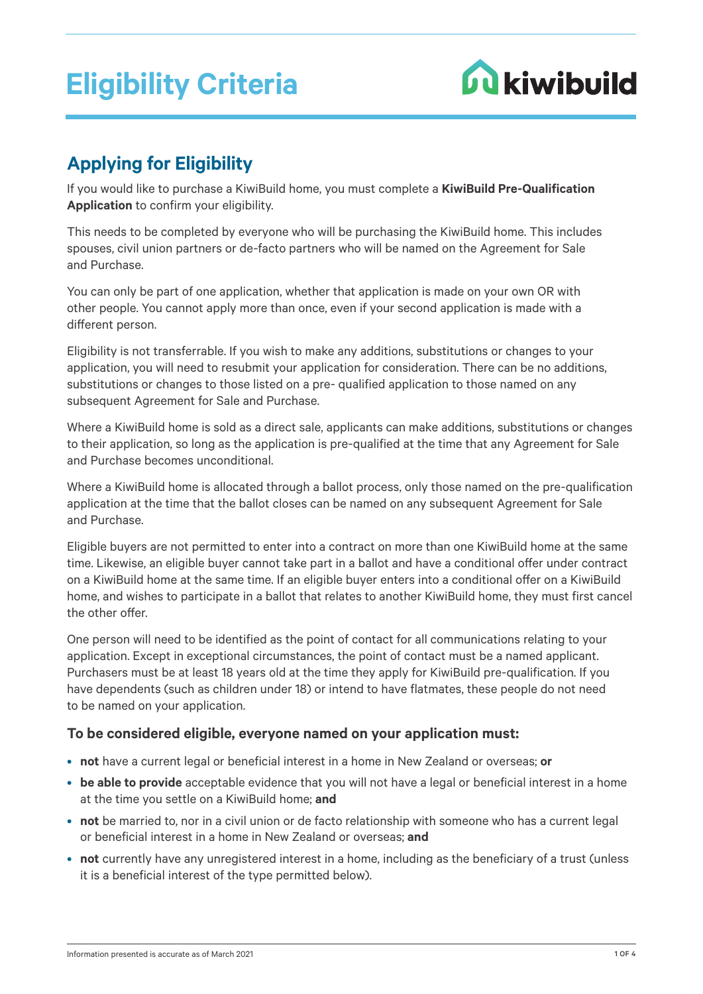# **Eligibility Criteria**



# **Applying for Eligibility**

If you would like to purchase a KiwiBuild home, you must complete a **KiwiBuild Pre-Qualification Application** to confirm your eligibility.

This needs to be completed by everyone who will be purchasing the KiwiBuild home. This includes spouses, civil union partners or de-facto partners who will be named on the Agreement for Sale and Purchase.

You can only be part of one application, whether that application is made on your own OR with other people. You cannot apply more than once, even if your second application is made with a different person.

Eligibility is not transferrable. If you wish to make any additions, substitutions or changes to your application, you will need to resubmit your application for consideration. There can be no additions, substitutions or changes to those listed on a pre- qualified application to those named on any subsequent Agreement for Sale and Purchase.

Where a KiwiBuild home is sold as a direct sale, applicants can make additions, substitutions or changes to their application, so long as the application is pre-qualified at the time that any Agreement for Sale and Purchase becomes unconditional.

Where a KiwiBuild home is allocated through a ballot process, only those named on the pre-qualification application at the time that the ballot closes can be named on any subsequent Agreement for Sale and Purchase.

Eligible buyers are not permitted to enter into a contract on more than one KiwiBuild home at the same time. Likewise, an eligible buyer cannot take part in a ballot and have a conditional offer under contract on a KiwiBuild home at the same time. If an eligible buyer enters into a conditional offer on a KiwiBuild home, and wishes to participate in a ballot that relates to another KiwiBuild home, they must first cancel the other offer.

One person will need to be identified as the point of contact for all communications relating to your application. Except in exceptional circumstances, the point of contact must be a named applicant. Purchasers must be at least 18 years old at the time they apply for KiwiBuild pre-qualification. If you have dependents (such as children under 18) or intend to have flatmates, these people do not need to be named on your application.

## **To be considered eligible, everyone named on your application must:**

- **not** have a current legal or beneficial interest in a home in New Zealand or overseas; **or**
- **be able to provide** acceptable evidence that you will not have a legal or beneficial interest in a home at the time you settle on a KiwiBuild home; **and**
- **not** be married to, nor in a civil union or de facto relationship with someone who has a current legal or beneficial interest in a home in New Zealand or overseas; **and**
- **not** currently have any unregistered interest in a home, including as the beneficiary of a trust (unless it is a beneficial interest of the type permitted below).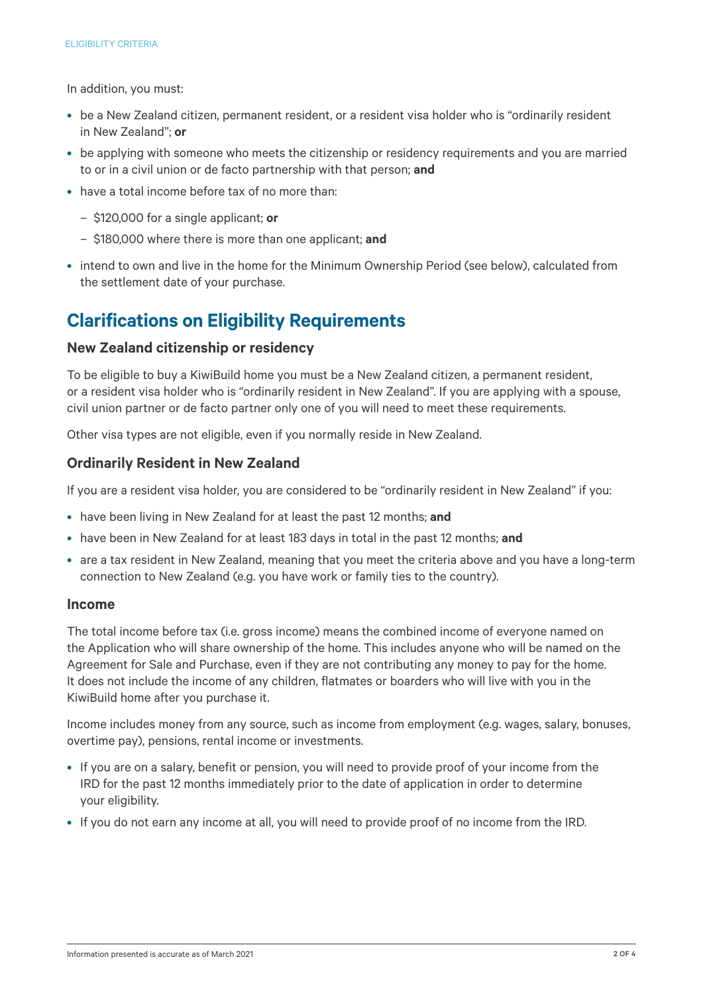In addition, you must:

- be a New Zealand citizen, permanent resident, or a resident visa holder who is "ordinarily resident in New Zealand"; **or**
- be applying with someone who meets the citizenship or residency requirements and you are married to or in a civil union or de facto partnership with that person; **and**
- have a total income before tax of no more than:
	- \$120,000 for a single applicant; **or**
	- \$180,000 where there is more than one applicant; **and**
- intend to own and live in the home for the Minimum Ownership Period (see below), calculated from the settlement date of your purchase.

# **Clarifications on Eligibility Requirements**

#### **New Zealand citizenship or residency**

To be eligible to buy a KiwiBuild home you must be a New Zealand citizen, a permanent resident, or a resident visa holder who is "ordinarily resident in New Zealand". If you are applying with a spouse, civil union partner or de facto partner only one of you will need to meet these requirements.

Other visa types are not eligible, even if you normally reside in New Zealand.

## **Ordinarily Resident in New Zealand**

If you are a resident visa holder, you are considered to be "ordinarily resident in New Zealand" if you:

- have been living in New Zealand for at least the past 12 months; **and**
- have been in New Zealand for at least 183 days in total in the past 12 months; **and**
- are a tax resident in New Zealand, meaning that you meet the criteria above and you have a long-term connection to New Zealand (e.g. you have work or family ties to the country).

#### **Income**

The total income before tax (i.e. gross income) means the combined income of everyone named on the Application who will share ownership of the home. This includes anyone who will be named on the Agreement for Sale and Purchase, even if they are not contributing any money to pay for the home. It does not include the income of any children, flatmates or boarders who will live with you in the KiwiBuild home after you purchase it.

Income includes money from any source, such as income from employment (e.g. wages, salary, bonuses, overtime pay), pensions, rental income or investments.

- If you are on a salary, benefit or pension, you will need to provide proof of your income from the IRD for the past 12 months immediately prior to the date of application in order to determine your eligibility.
- If you do not earn any income at all, you will need to provide proof of no income from the IRD.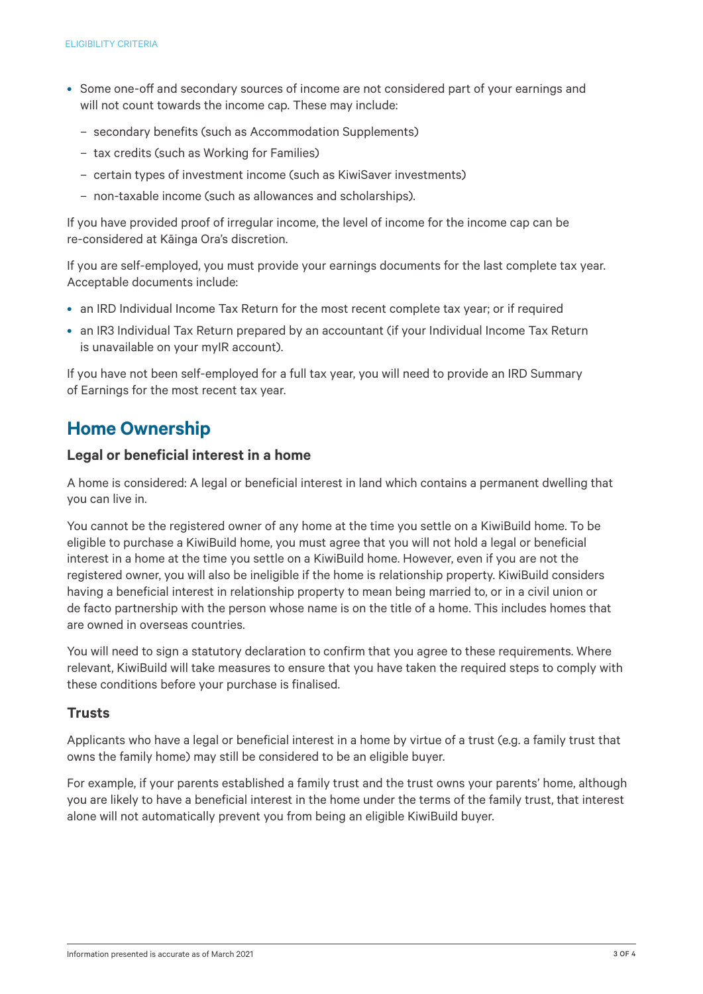- Some one-off and secondary sources of income are not considered part of your earnings and will not count towards the income cap. These may include:
	- secondary benefits (such as Accommodation Supplements)
	- tax credits (such as Working for Families)
	- certain types of investment income (such as KiwiSaver investments)
	- non-taxable income (such as allowances and scholarships).

If you have provided proof of irregular income, the level of income for the income cap can be re-considered at Kāinga Ora's discretion.

If you are self-employed, you must provide your earnings documents for the last complete tax year. Acceptable documents include:

- an IRD Individual Income Tax Return for the most recent complete tax year; or if required
- an IR3 Individual Tax Return prepared by an accountant (if your Individual Income Tax Return is unavailable on your myIR account).

If you have not been self-employed for a full tax year, you will need to provide an IRD Summary of Earnings for the most recent tax year.

# **Home Ownership**

## **Legal or beneficial interest in a home**

A home is considered: A legal or beneficial interest in land which contains a permanent dwelling that you can live in.

You cannot be the registered owner of any home at the time you settle on a KiwiBuild home. To be eligible to purchase a KiwiBuild home, you must agree that you will not hold a legal or beneficial interest in a home at the time you settle on a KiwiBuild home. However, even if you are not the registered owner, you will also be ineligible if the home is relationship property. KiwiBuild considers having a beneficial interest in relationship property to mean being married to, or in a civil union or de facto partnership with the person whose name is on the title of a home. This includes homes that are owned in overseas countries.

You will need to sign a statutory declaration to confirm that you agree to these requirements. Where relevant, KiwiBuild will take measures to ensure that you have taken the required steps to comply with these conditions before your purchase is finalised.

## **Trusts**

Applicants who have a legal or beneficial interest in a home by virtue of a trust (e.g. a family trust that owns the family home) may still be considered to be an eligible buyer.

For example, if your parents established a family trust and the trust owns your parents' home, although you are likely to have a beneficial interest in the home under the terms of the family trust, that interest alone will not automatically prevent you from being an eligible KiwiBuild buyer.